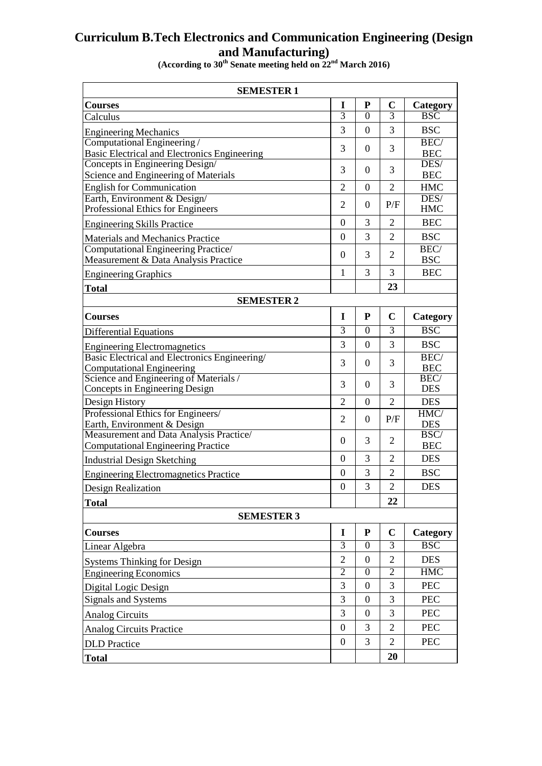## **Curriculum B.Tech Electronics and Communication Engineering (Design and Manufacturing)**

**(According to 30th Senate meeting held on 22nd March 2016)**

| <b>SEMESTER 1</b>                                                        |                  |                  |                |                         |  |  |  |
|--------------------------------------------------------------------------|------------------|------------------|----------------|-------------------------|--|--|--|
| <b>Courses</b>                                                           | 1                | ${\bf P}$        | $\mathbf C$    | Category                |  |  |  |
| Calculus                                                                 | 3                | $\overline{0}$   | 3              | $\overline{\text{BSC}}$ |  |  |  |
| <b>Engineering Mechanics</b>                                             | 3                | $\overline{0}$   | 3              | <b>BSC</b>              |  |  |  |
| Computational Engineering/                                               | 3                | $\theta$         | 3              | BEC/                    |  |  |  |
| Basic Electrical and Electronics Engineering                             |                  |                  |                | <b>BEC</b>              |  |  |  |
| Concepts in Engineering Design/                                          | 3                | $\theta$         | 3              | DES/                    |  |  |  |
| Science and Engineering of Materials                                     | $\overline{2}$   |                  |                | <b>BEC</b>              |  |  |  |
| <b>English for Communication</b><br>Earth, Environment & Design/         |                  | $\theta$         | $\overline{2}$ | <b>HMC</b><br>DES/      |  |  |  |
| Professional Ethics for Engineers                                        | $\overline{2}$   | $\theta$         | P/F            | <b>HMC</b>              |  |  |  |
| <b>Engineering Skills Practice</b>                                       | $\theta$         | 3                | $\mathfrak{D}$ | <b>BEC</b>              |  |  |  |
| Materials and Mechanics Practice                                         | $\boldsymbol{0}$ | 3                | $\overline{2}$ | <b>BSC</b>              |  |  |  |
| Computational Engineering Practice/                                      | $\boldsymbol{0}$ | 3                | $\overline{2}$ | BEC/                    |  |  |  |
| Measurement & Data Analysis Practice                                     |                  |                  |                | <b>BSC</b>              |  |  |  |
| <b>Engineering Graphics</b>                                              | $\mathbf{1}$     | 3                | 3              | <b>BEC</b>              |  |  |  |
| <b>Total</b>                                                             |                  |                  | 23             |                         |  |  |  |
| <b>SEMESTER 2</b>                                                        |                  |                  |                |                         |  |  |  |
| <b>Courses</b>                                                           | I                | P                | $\mathbf C$    | Category                |  |  |  |
| <b>Differential Equations</b>                                            | $\overline{3}$   | $\overline{0}$   | $\overline{3}$ | <b>BSC</b>              |  |  |  |
| <b>Engineering Electromagnetics</b>                                      | 3                | $\boldsymbol{0}$ | 3              | <b>BSC</b>              |  |  |  |
| Basic Electrical and Electronics Engineering/                            | 3                | $\theta$         | 3              | BEC/                    |  |  |  |
| <b>Computational Engineering</b>                                         |                  |                  |                | <b>BEC</b>              |  |  |  |
| Science and Engineering of Materials /<br>Concepts in Engineering Design | 3                | $\theta$         | 3              | BEC/<br><b>DES</b>      |  |  |  |
| Design History                                                           | $\overline{2}$   | $\overline{0}$   | $\overline{2}$ | <b>DES</b>              |  |  |  |
| Professional Ethics for Engineers/                                       | $\overline{2}$   | $\theta$         | P/F            | HMC/                    |  |  |  |
| Earth, Environment & Design                                              |                  |                  |                | <b>DES</b>              |  |  |  |
| Measurement and Data Analysis Practice/                                  | $\overline{0}$   | 3                | $\overline{2}$ | BSC/                    |  |  |  |
| <b>Computational Engineering Practice</b>                                |                  | 3                |                | <b>BEC</b>              |  |  |  |
| <b>Industrial Design Sketching</b>                                       | $\Omega$         |                  | $\overline{2}$ | <b>DES</b>              |  |  |  |
| <b>Engineering Electromagnetics Practice</b>                             | $\boldsymbol{0}$ | 3                | $\overline{2}$ | <b>BSC</b>              |  |  |  |
| <b>Design Realization</b>                                                | $\overline{0}$   | 3                | $\overline{2}$ | <b>DES</b>              |  |  |  |
| <b>Total</b>                                                             |                  |                  | 22             |                         |  |  |  |
| <b>SEMESTER 3</b>                                                        |                  |                  |                |                         |  |  |  |
| <b>Courses</b>                                                           | $\mathbf I$      | ${\bf P}$        | $\mathbf C$    | Category                |  |  |  |
| Linear Algebra                                                           | $\overline{3}$   | $\boldsymbol{0}$ | $\overline{3}$ | <b>BSC</b>              |  |  |  |
| <b>Systems Thinking for Design</b>                                       | $\overline{2}$   | $\boldsymbol{0}$ | $\overline{2}$ | <b>DES</b>              |  |  |  |
| <b>Engineering Economics</b>                                             | $\overline{2}$   | $\mathbf{0}$     | $\overline{2}$ | <b>HMC</b>              |  |  |  |
| Digital Logic Design                                                     | 3                | $\boldsymbol{0}$ | 3              | PEC                     |  |  |  |
| Signals and Systems                                                      | 3                | $\boldsymbol{0}$ | 3              | <b>PEC</b>              |  |  |  |
| <b>Analog Circuits</b>                                                   | 3                | $\mathbf{0}$     | 3              | <b>PEC</b>              |  |  |  |
| <b>Analog Circuits Practice</b>                                          | $\boldsymbol{0}$ | 3                | $\overline{2}$ | <b>PEC</b>              |  |  |  |
| <b>DLD</b> Practice                                                      | $\boldsymbol{0}$ | 3                | $\overline{2}$ | <b>PEC</b>              |  |  |  |
| <b>Total</b>                                                             |                  |                  | 20             |                         |  |  |  |